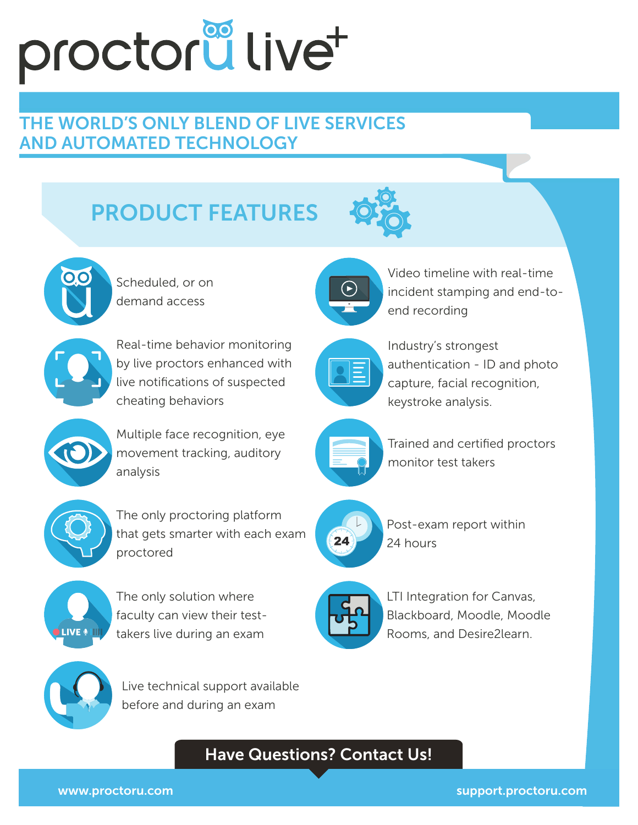# proctorullivet

### THE WORLD'S ONLY BLEND OF LIVE SERVICES AND AUTOMATED TECHNOLOGY

## PRODUCT FEATURES





Scheduled, or on demand access



Real-time behavior monitoring by live proctors enhanced with live notifications of suspected cheating behaviors

Multiple face recognition, eye movement tracking, auditory analysis







The only solution where faculty can view their testtakers live during an exam



Live technical support available before and during an exam



Industry's strongest authentication - ID and photo capture, facial recognition, keystroke analysis.

Video timeline with real-time incident stamping and end-to-

end recording



Trained and certified proctors monitor test takers



Post-exam report within 24 hours



LTI Integration for Canvas, Blackboard, Moodle, Moodle Rooms, and Desire2learn.

#### Have Questions? Contact Us!

www.proctoru.com support.proctoru.com